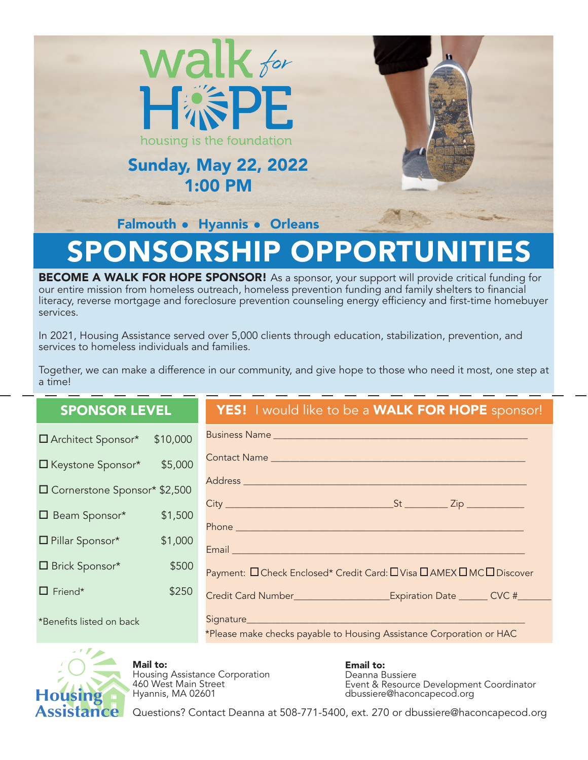

# OPPORTUN

BECOME A WALK FOR HOPE SPONSOR! As a sponsor, your support will provide critical funding for our entire mission from homeless outreach, homeless prevention funding and family shelters to financial literacy, reverse mortgage and foreclosure prevention counseling energy efficiency and first-time homebuyer services.

In 2021, Housing Assistance served over 5,000 clients through education, stabilization, prevention, and services to homeless individuals and families.

Together, we can make a difference in our community, and give hope to those who need it most, one step at a time!

| <b>SPONSOR LEVEL</b>             | YES! I would like to be a WALK FOR HOPE sponsor!                                               |
|----------------------------------|------------------------------------------------------------------------------------------------|
| \$10,000<br>□ Architect Sponsor* |                                                                                                |
| E Keystone Sponsor* \$5,000      |                                                                                                |
| □ Cornerstone Sponsor* \$2,500   | Address ____________                                                                           |
| \$1,500<br>$\Box$ Beam Sponsor*  |                                                                                                |
| □ Pillar Sponsor*<br>\$1,000     | Email <b>Exercise Service</b>                                                                  |
| □ Brick Sponsor*<br>\$500        | Payment: □ Check Enclosed* Credit Card: □ Visa □ AMEX □ MC □ Discover                          |
| $\Box$ Friend*<br>\$250          |                                                                                                |
| *Benefits listed on back         | Signature_____________<br>*Please make checks payable to Housing Assistance Corporation or HAC |



Mail to:

Housing Assistance Corporation 460 West Main Street Hyannis, MA 02601

Email to: Deanna Bussiere Event & Resource Development Coordinator dbussiere@haconcapecod.org

Questions? Contact Deanna at 508-771-5400, ext. 270 or dbussiere@haconcapecod.org